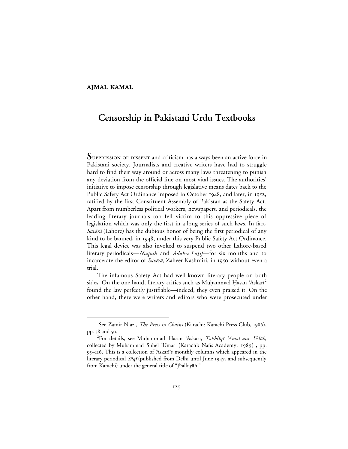## **AJMAL KAMAL**

# **Censorship in Pakistani Urdu Textbooks**

 ${\bf S}$ UPPRESSION OF DISSENT and criticism has always been an active force in Pakistani society. Journalists and creative writers have had to struggle hard to find their way around or across many laws threatening to punish any deviation from the official line on most vital issues. The authorities' initiative to impose censorship through legislative means dates back to the Public Safety Act Ordinance imposed in October 1948, and later, in 1952, ratified by the first Constituent Assembly of Pakistan as the Safety Act. Apart from numberless political workers, newspapers, and periodicals, the leading literary journals too fell victim to this oppressive piece of legislation which was only the first in a long series of such laws. In fact, Savērā (Lahore) has the dubious honor of being the first periodical of any kind to be banned, in 1948, under this very Public Safety Act Ordinance. This legal device was also invoked to suspend two other Lahore-based literary periodicals—*Nuqūsh* and *Adab-e Laṭif*—for six months and to incarcerate the editor of Savera, Zaheer Kashmiri, in 1950 without even a trial. $<sup>1</sup>$ </sup>

The infamous Safety Act had well-known literary people on both sides. On the one hand, literary critics such as Muhammad Hasan 'Askari<sup>2</sup> found the law perfectly justifiable—indeed, they even praised it. On the other hand, there were writers and editors who were prosecuted under

 $\overline{\phantom{a}}$ <sup>1</sup>See Zamir Niazi, *The Press in Chains* (Karachi: Karachi Press Club, 1986), pp. 38 and 50.

<sup>&</sup>lt;sup>2</sup>For details, see Muḥammad Ḥasan ʿAskarī, *Takhlīqī ʿAmal aur Uslūb,* collected by Muḥammad Suhēl 'Umar (Karachi: Nafis Academy, 1989), pp. 95-116. This is a collection of 'Askari's monthly columns which appeared in the literary periodical  $S\bar{a}q\bar{i}$  (published from Delhi until June 1947, and subsequently from Karachi) under the general title of "Jhalkiyān."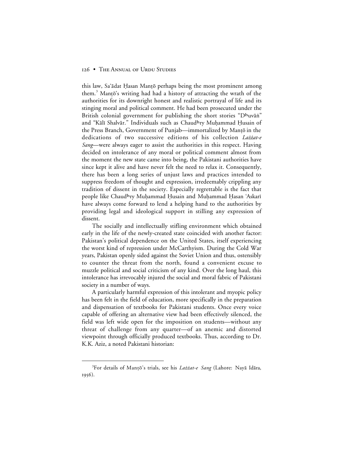this law, Sa'ādat Ḥasan Manṭō perhaps being the most prominent among them.<sup>3</sup> Manto's writing had had a history of attracting the wrath of the authorities for its downright honest and realistic portrayal of life and its stinging moral and political comment. He had been prosecuted under the British colonial government for publishing the short stories "Dhuvān" and "Kālī Shalvār." Individuals such as Chaudhry Muhammad Ḥusain of the Press Branch, Government of Punjab—immortalized by Mantō in the dedications of two successive editions of his collection Lażżat-e Sang—were always eager to assist the authorities in this respect. Having decided on intolerance of any moral or political comment almost from the moment the new state came into being, the Pakistani authorities have since kept it alive and have never felt the need to relax it. Consequently, there has been a long series of unjust laws and practices intended to suppress freedom of thought and expression, irredeemably crippling any tradition of dissent in the society. Especially regrettable is the fact that people like Chaud<sup>h</sup>ry Muḥammad Ḥusain and Muḥammad Ḥasan 'Askarī have always come forward to lend a helping hand to the authorities by providing legal and ideological support in stilling any expression of dissent.

The socially and intellectually stifling environment which obtained early in the life of the newly-created state coincided with another factor: Pakistan's political dependence on the United States, itself experiencing the worst kind of repression under McCarthyism. During the Cold War years, Pakistan openly sided against the Soviet Union and thus, ostensibly to counter the threat from the north, found a convenient excuse to muzzle political and social criticism of any kind. Over the long haul, this intolerance has irrevocably injured the social and moral fabric of Pakistani society in a number of ways.

A particularly harmful expression of this intolerant and myopic policy has been felt in the field of education, more specifically in the preparation and dispensation of textbooks for Pakistani students. Once every voice capable of offering an alternative view had been effectively silenced, the field was left wide open for the imposition on students—without any threat of challenge from any quarter—of an anemic and distorted viewpoint through officially produced textbooks. Thus, according to Dr. K.K. Aziz, a noted Pakistani historian:

 $\frac{1}{3}$ <sup>3</sup>For details of Manțō's trials, see his Lażżat-e Sang (Lahore: Nayā Idāra, 1956).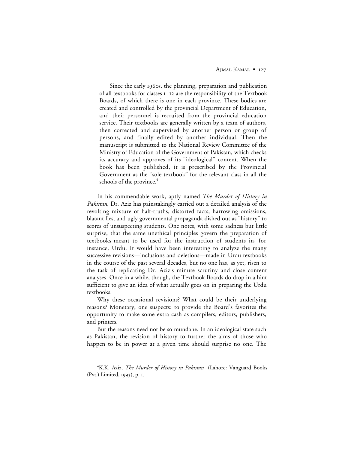Since the early 1960s, the planning, preparation and publication of all textbooks for classes I-I2 are the responsibility of the Textbook Boards, of which there is one in each province. These bodies are created and controlled by the provincial Department of Education, and their personnel is recruited from the provincial education service. Their textbooks are generally written by a team of authors, then corrected and supervised by another person or group of persons, and finally edited by another individual. Then the manuscript is submitted to the National Review Committee of the Ministry of Education of the Government of Pakistan, which checks its accuracy and approves of its "ideological" content. When the book has been published, it is prescribed by the Provincial Government as the "sole textbook" for the relevant class in all the schools of the province.<sup>4</sup>

In his commendable work, aptly named *The Murder of History in Pakistan*, Dr. Aziz has painstakingly carried out a detailed analysis of the revolting mixture of half-truths, distorted facts, harrowing omissions, blatant lies, and ugly governmental propaganda dished out as "history" to scores of unsuspecting students. One notes, with some sadness but little surprise, that the same unethical principles govern the preparation of textbooks meant to be used for the instruction of students in, for instance, Urdu. It would have been interesting to analyze the many successive revisions—inclusions and deletions—made in Urdu textbooks in the course of the past several decades, but no one has, as yet, risen to the task of replicating Dr. Aziz's minute scrutiny and close content analyses. Once in a while, though, the Textbook Boards do drop in a hint sufficient to give an idea of what actually goes on in preparing the Urdu textbooks.

Why these occasional revisions? What could be their underlying reasons? Monetary, one suspects: to provide the Board's favorites the opportunity to make some extra cash as compilers, editors, publishers, and printers.

But the reasons need not be so mundane. In an ideological state such as Pakistan, the revision of history to further the aims of those who happen to be in power at a given time should surprise no one. The

 $\overline{4}$ K.K. Aziz, *The Murder of History in Pakistan* (Lahore: Vanguard Books (Pvt.) Limited, 1993), p. I.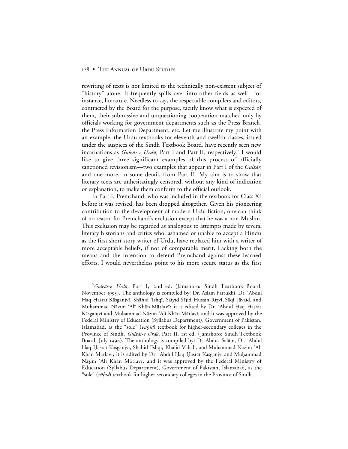rewriting of texts is not limited to the technically non-existent subject of "history" alone. It frequently spills over into other fields as well—for instance, literature. Needless to say, the respectable compilers and editors, contracted by the Board for the purpose, tacitly know what is expected of them, their submissive and unquestioning cooperation matched only by officials working for government departments such as the Press Branch, the Press Information Department, etc. Let me illustrate my point with an example: the Urdu textbooks for eleventh and twelfth classes, issued under the auspices of the Sindh Textbook Board, have recently seen new incarnations as *Gulzār-e Urdū*, Part I and Part II, respectively.<sup>5</sup> I would like to give three significant examples of this process of officially sanctioned revisionism—two examples that appear in Part I of the *Gulzār*, and one more, in some detail, from Part II. My aim is to show that literary texts are unhesitatingly censored, without any kind of indication or explanation, to make them conform to the official outlook.

In Part I, Premchand, who was included in the textbook for Class XI before it was revised, has been dropped altogether. Given his pioneering contribution to the development of modern Urdu fiction, one can think of no reason for Premchand's exclusion except that he was a non-Muslim. This exclusion may be regarded as analogous to attempts made by several literary historians and critics who, ashamed or unable to accept a Hindu as the first short story writer of Urdu, have replaced him with a writer of more acceptable beliefs, if not of comparable merit. Lacking both the means and the intention to defend Premchand against these learned efforts, I would nevertheless point to his more secure status as the first

 $rac{1}{5}$ <sup>5</sup>Gulzār-e Urdū, Part I, 2nd ed. (Jamshoro: Sindh Textbook Board, November 1993). The anthology is compiled by: Dr. Aslam Farrukhī, Dr. 'Abdul Haq Hasrat Kāsganjvī, Shāhid 'Ishqī, Saiyid Sājid Husain Rizvī, Sāqī Jāvaid, and Muhammad Nāzim 'Alī Khān Mātlavī; it is edited by Dr. 'Abdul Haq Hasrat Kāsganjvī and Muḥammad Nāzim 'Alī Khān Mātlavī; and it was approved by the Federal Ministry of Education (Syllabus Department), Government of Pakistan, Islamabad, as the "sole" (vāhid) textbook for higher-secondary colleges in the Province of Sindh. Gulzār-e Urdū, Part II, 1st ed. (Jamshoro: Sindh Textbook Board, July 1994). The anthology is compiled by: Dr. Abdus Salām, Dr. 'Abdul Haq Hasrat Kāsganjvī, Shāhid 'Ishqī, Khālid Vahāb, and Muḥammad Nāzim 'Alī Khān Mātlavī; it is edited by Dr. 'Abdul Haq Hasrat Kāsganjvī and Muhammad Nāzim 'Alī Khān Mātlavī; and it was approved by the Federal Ministry of Education (Syllabus Department), Government of Pakistan, Islamabad, as the "sole" (vāhid) textbook for higher-secondary colleges in the Province of Sindh.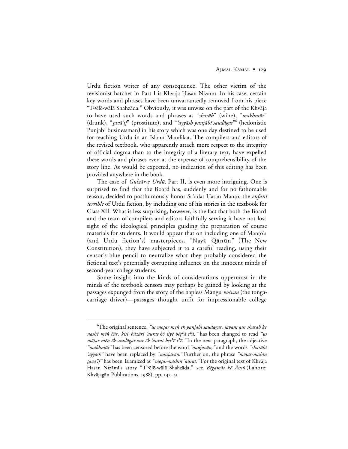Urdu fiction writer of any consequence. The other victim of the revisionist hatchet in Part I is Khvāja Ḥasan Niẓāmī. In his case, certain key words and phrases have been unwarrantedly removed from his piece  $\mathrm{``Th}$ ēlē-wālā Shahzāda." Obviously, it was unwise on the part of the Khvāja to have used such words and phrases as "sharab" (wine), "makhmūr" (drunk), "*tavā'if*" (prostitute), and "*'ayyāsh panjābī saudāgar*" (hedonistic Punjabi businessman) in his story which was one day destined to be used for teaching Urdu in an Islāmī Mamlikat. The compilers and editors of the revised textbook, who apparently attach more respect to the integrity of official dogma than to the integrity of a literary text, have expelled these words and phrases even at the expense of comprehensibility of the story line. As would be expected, no indication of this editing has been provided anywhere in the book.

The case of *Gulzār-e Urdū*, Part II, is even more intriguing. One is surprised to find that the Board has, suddenly and for no fathomable reason, decided to posthumously honor Sa'ādat Ḥasan Manṭō, the enfant *terrible* of Urdu fiction, by including one of his stories in the textbook for Class XII. What is less surprising, however, is the fact that both the Board and the team of compilers and editors faithfully serving it have not lost sight of the ideological principles guiding the preparation of course materials for students. It would appear that on including one of Mantō's (and Urdu fiction's) masterpieces, "Nayā Qānūn" (The New Constitution), they have subjected it to a careful reading, using their censor's blue pencil to neutralize what they probably considered the fictional text's potentially corrupting influence on the innocent minds of second-year college students.

Some insight into the kinds of considerations uppermost in the minds of the textbook censors may perhaps be gained by looking at the passages expunged from the story of the hapless Mangu  $k\bar{\sigma} \check{c}van$  (the tongacarriage driver)—passages thought unfit for impressionable college

 <sup>6</sup> <sup>6</sup>The original sentence, *"us mõtar mēn ēk panjābī saudāgar, javānī aur sharāb kē* nashē mēn čūr, kisī bāzārī 'aurat kō liyē bēt<sup>h</sup>ā t<sup>h</sup>ā," has been changed to read "us mōțar mēn ēk saudāgar aur ēk 'aurat beț<sup>h</sup>ē t<sup>h</sup>ē." In the next paragraph, the adjective *"makhmūr"* has been censored before the word *"naujavān*," and the words *"sharābī* 'ayyāsh" have been replaced by "naujavān." Further on, the phrase "mōtar-nashīn tavā'if" has been Islamized as "mōtar-nashīn 'aurat." For the original text of Khvāja Ḥasan Nizāmī's story "Thēlē-wālā Shahzāda," see Bēgamāt kē Ānsū (Lahore: Khvājagān Publications, 1988), pp. 142–51.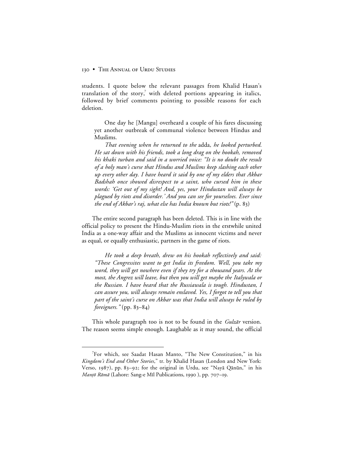students. I quote below the relevant passages from Khalid Hasan's translation of the story,<sup>7</sup> with deleted portions appearing in italics, followed by brief comments pointing to possible reasons for each deletion.

One day he [Mangu] overheard a couple of his fares discussing yet another outbreak of communal violence between Hindus and Muslims.

*That evening when he returned to the* adda*, he looked perturbed. He sat down with his friends, took a long drag on the hookah, removed his khaki turban and said in a worried voice: "It is no doubt the result of a holy man's curse that Hindus and Muslims keep slashing each other up every other day. I have heard it said by one of my elders that Akbar Badshah once showed disrespect to a saint, who cursed him in these words: 'Get out of my sight! And, yes, your Hindustan will always be plagued by riots and disorder.' And you can see for yourselves. Ever since the end of Akbar's raj, what else has India known but riots!*" (p. 83)

The entire second paragraph has been deleted. This is in line with the official policy to present the Hindu-Muslim riots in the erstwhile united India as a one-way affair and the Muslims as innocent victims and never as equal, or equally enthusiastic, partners in the game of riots.

*He took a deep breath, drew on his hookah reflectively and said: "These Congressites want to get India its freedom. Well, you take my word, they will get nowhere even if they try for a thousand years. At the most, the Angrez will leave, but then you will get maybe the Italywala or the Russian. I have heard that the Russiawala is tough. Hindustan, I can assure you, will always remain enslaved. Yes, I forgot to tell you that part of the saint's curse on Akbar was that India will always be ruled by foreigners.*" (pp. 83–84)

This whole paragraph too is not to be found in the *Gulzār* version. The reason seems simple enough. Laughable as it may sound, the official

 $\frac{1}{7}$ For which, see Saadat Hasan Manto, "The New Constitution," in his *Kingdom's End and Other Stories*," tr. by Khalid Hasan (London and New York: Verso, 1987), pp. 83–92; for the original in Urdu, see "Nayā Qānūn," in his *Manțō Rāmā* (Lahore: Sang-e Mīl Publications, 1990), pp. 707–19.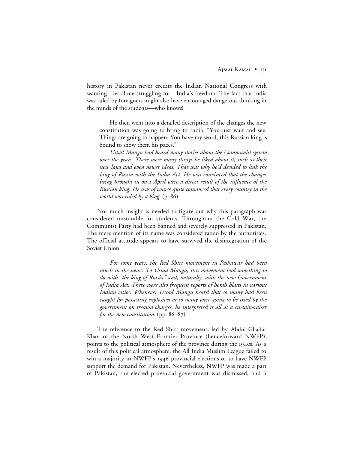history in Pakistan never credits the Indian National Congress with wanting—let alone struggling for—India's freedom. The fact that India was ruled by foreigners might also have encouraged dangerous thinking in the minds of the students—who knows!

He then went into a detailed description of the changes the new constitution was going to bring to India. "You just wait and see. Things are going to happen. You have my word, this Russian king is bound to show them his paces."

*Ustad Mangu had heard many stories about the Communist system over the years. There were many things he liked about it, such as their new laws and even newer ideas. That was why he'd decided to link the king of Russia with the India Act. He was convinced that the changes being brought in on April were a direct result of the influence of the Russian king. He was of course quite convinced that every country in the world was ruled by a king.* (p. 86)

Not much insight is needed to figure out why this paragraph was considered unsuitable for students. Throughout the Cold War, the Communist Party had been banned and severely suppressed in Pakistan. The mere mention of its name was considered taboo by the authorities. The official attitude appears to have survived the disintegration of the Soviet Union.

*For some years, the Red Shirt movement in Peshawar had been much in the news. To Ustad Mangu, this movement had something to do with "the king of Russia" and, naturally, with the new Government of India Act. There were also frequent reports of bomb blasts in various Indian cities. Whenever Ustad Mangu heard that so many had been caught for possessing explosives or so many were going to be tried by the government on treason charges, he interpreted it all as a curtain-raiser for the new constitution.* (pp. 86–87)

The reference to the Red Shirt movement, led by 'Abdul Ghaffār Khān of the North West Frontier Province (henceforward NWFP), points to the political atmosphere of the province during the 1940s. As a result of this political atmosphere, the All India Muslim League failed to win a majority in NWFP's 1946 provincial elections or to have NWFP support the demand for Pakistan. Nevertheless, NWFP was made a part of Pakistan, the elected provincial government was dismissed, and a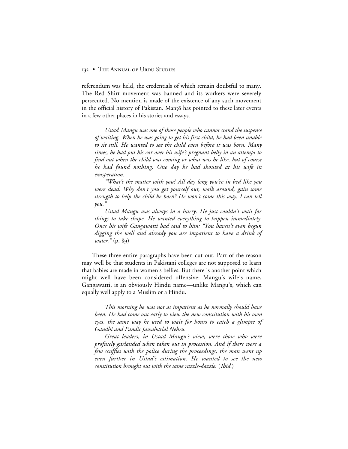referendum was held, the credentials of which remain doubtful to many. The Red Shirt movement was banned and its workers were severely persecuted. No mention is made of the existence of any such movement in the official history of Pakistan. Manto has pointed to these later events in a few other places in his stories and essays.

*Ustad Mangu was one of those people who cannot stand the suspense of waiting. When he was going to get his first child, he had been unable to sit still. He wanted to see the child even before it was born. Many times, he had put his ear over his wife's pregnant belly in an attempt to find out when the child was coming or what was he like, but of course he had found nothing. One day he had shouted at his wife in exasperation.*

*"What's the matter with you? All day long you're in bed like you were dead. Why don't you get yourself out, walk around, gain some strength to help the child be born? He won't come this way. I can tell you."*

*Ustad Mangu was always in a hurry. He just couldn't wait for things to take shape. He wanted everything to happen immediately. Once his wife Gangawatti had said to him: "You haven't even begun digging the well and already you are impatient to have a drink of water.*" (p. 89)

These three entire paragraphs have been cut out. Part of the reason may well be that students in Pakistani colleges are not supposed to learn that babies are made in women's bellies. But there is another point which might well have been considered offensive: Mangu's wife's name, Gangawatti, is an obviously Hindu name—unlike Mangu's, which can equally well apply to a Muslim or a Hindu.

*This morning he was not as impatient as he normally should have been. He had come out early to view the new constitution with his own eyes, the same way he used to wait for hours to catch a glimpse of Gandhi and Pandit Jawaharlal Nehru.*

*Great leaders, in Ustad Mangu's view, were those who were profusely garlanded when taken out in procession. And if there were a few scuffles with the police during the proceedings, the man went up even further in Ustad's estimation. He wanted to see the new constitution brought out with the same razzle-dazzle.* (*Ibid.*)